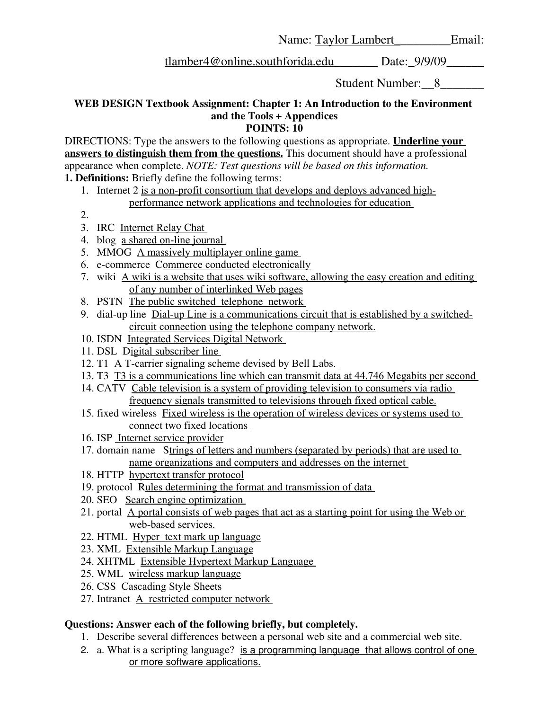Name: Taylor Lambert Email:

tlamber4@online.southforida.edu\_\_\_\_\_\_\_ Date:\_9/9/09\_\_\_\_\_\_

Student Number: 8

## **WEB DESIGN Textbook Assignment: Chapter 1: An Introduction to the Environment and the Tools + Appendices POINTS: 10**

DIRECTIONS: Type the answers to the following questions as appropriate. **Underline your answers to distinguish them from the questions.** This document should have a professional appearance when complete. *NOTE: Test questions will be based on this information.* **1. Definitions:** Briefly define the following terms:

1. Internet 2 is a non-profit consortium that develops and deploys advanced highperformance network applications and technologies for education

2.

- 3. IRC Internet Relay Chat
- 4. blog a shared on-line journal
- 5. MMOG A massively multiplayer online game
- 6. e-commerce Commerce conducted electronically
- 7. wiki A wiki is a website that uses wiki software, allowing the easy creation and editing of any number of interlinked Web pages
- 8. PSTN The public switched telephone network
- 9. dial-up line Dial-up Line is a communications circuit that is established by a switchedcircuit connection using the telephone company network.
- 10. ISDN Integrated Services Digital Network
- 11. DSL Digital subscriber line
- 12. T1 A T-carrier signaling scheme devised by Bell Labs.
- 13. T3 T3 is a communications line which can transmit data at 44.746 Megabits per second
- 14. CATV Cable television is a system of providing television to consumers via radio frequency signals transmitted to televisions through fixed optical cable.
- 15. fixed wireless Fixed wireless is the operation of wireless devices or systems used to connect two fixed locations
- 16. ISP Internet service provider
- 17. domain name Strings of letters and numbers (separated by periods) that are used to name organizations and computers and addresses on the internet
- 18. HTTP hypertext transfer protocol
- 19. protocol Rules determining the format and transmission of data
- 20. SEO Search engine optimization
- 21. portal A portal consists of web pages that act as a starting point for using the Web or web-based services.
- 22. HTML Hyper text mark up language
- 23. XML Extensible Markup Language
- 24. XHTML Extensible Hypertext Markup Language
- 25. WML wireless markup language
- 26. CSS Cascading Style Sheets
- 27. Intranet A restricted computer network

## **Questions: Answer each of the following briefly, but completely.**

- 1. Describe several differences between a personal web site and a commercial web site.
- 2. a. What is a scripting language? is a programming language that allows control of one or more software applications.